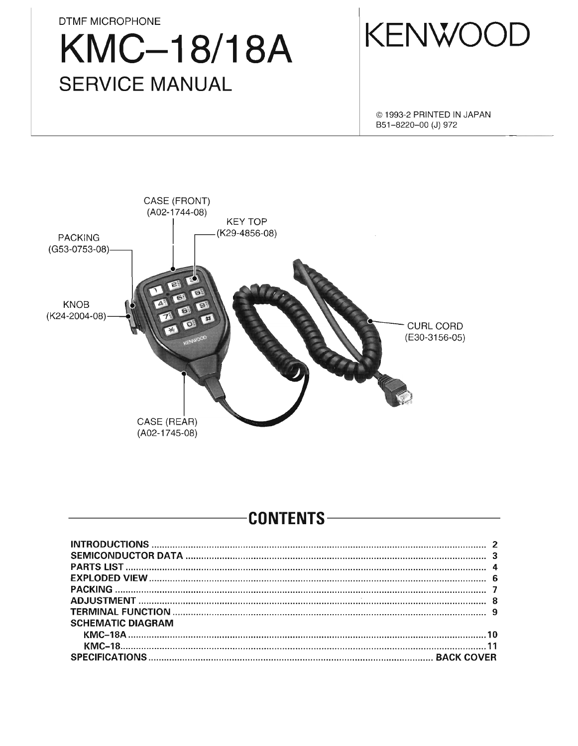**DTMF MICROPHONE KMC-18/18A SERVICE MANUAL** 



@ 1993-2 PRINTED IN JAPAN B51-8220-00 (J) 972



#### **CONTENTS-**

| <b>SCHEMATIC DIAGRAM</b> |  |
|--------------------------|--|
|                          |  |
|                          |  |
|                          |  |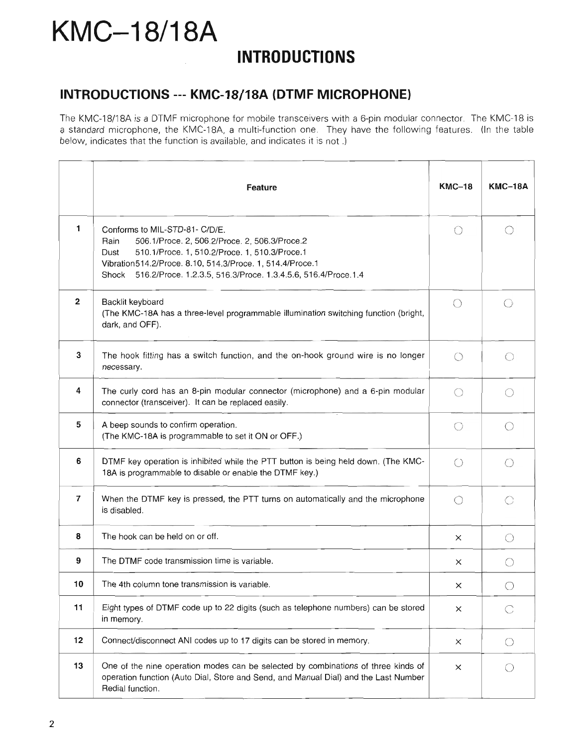### **KMC-18/18A INTRODUCTIONS**

#### **INTRODUCTIONS --- KMC-18/18A (DTMF MICROPHONE)**

The KMC-18/18A is a DTMF microphone for mobile transceivers with a 6-pin modular connector. The KMC-18 is a standard microphone, the KMC-18A, a multi-function one. They have the following features. (In the table below, indicates that the function is available, and indicates it is not .)

|                         | <b>Feature</b>                                                                                                                                                                                                                                                                       | $KMC-18$                                    | <b>KMC-18A</b>                              |
|-------------------------|--------------------------------------------------------------------------------------------------------------------------------------------------------------------------------------------------------------------------------------------------------------------------------------|---------------------------------------------|---------------------------------------------|
| 1                       | Conforms to MIL-STD-81- C/D/E.<br>506.1/Proce. 2, 506.2/Proce. 2, 506.3/Proce.2<br>Rain<br>510.1/Proce. 1, 510.2/Proce. 1, 510.3/Proce.1<br>Dust<br>Vibration514.2/Proce. 8.10, 514.3/Proce. 1, 514.4/Proce.1<br>Shock 516.2/Proce. 1.2.3.5, 516.3/Proce. 1.3.4.5.6, 516.4/Proce.1.4 | ( )                                         |                                             |
| $\overline{\mathbf{2}}$ | Backlit keyboard<br>(The KMC-18A has a three-level programmable illumination switching function (bright,<br>dark, and OFF).                                                                                                                                                          | $\left(\begin{array}{c} \end{array}\right)$ | ()                                          |
| 3                       | The hook fitting has a switch function, and the on-hook ground wire is no longer<br>necessary.                                                                                                                                                                                       | $\bigcirc$                                  |                                             |
| 4                       | The curly cord has an 8-pin modular connector (microphone) and a 6-pin modular<br>connector (transceiver). It can be replaced easily.                                                                                                                                                | $\bigcirc$                                  | ∩                                           |
| 5                       | A beep sounds to confirm operation.<br>(The KMC-18A is programmable to set it ON or OFF.)                                                                                                                                                                                            | $\bigcirc$                                  | $\bigcirc$                                  |
| 6                       | DTMF key operation is inhibited while the PTT button is being held down. (The KMC-<br>18A is programmable to disable or enable the DTMF key.)                                                                                                                                        | $\bigcirc$                                  | O                                           |
| 7                       | When the DTMF key is pressed, the PTT turns on automatically and the microphone<br>is disabled.                                                                                                                                                                                      | $\bigcirc$                                  | ◯                                           |
| 8                       | The hook can be held on or off.                                                                                                                                                                                                                                                      | ×                                           | $\left(\begin{array}{c} \end{array}\right)$ |
| 9                       | The DTMF code transmission time is variable.                                                                                                                                                                                                                                         | X                                           | $\bigcirc$                                  |
| 10                      | The 4th column tone transmission is variable.                                                                                                                                                                                                                                        | $\times$                                    |                                             |
| 11                      | Eight types of DTMF code up to 22 digits (such as telephone numbers) can be stored<br>in memory.                                                                                                                                                                                     | $\times$                                    | ◯                                           |
| 12                      | Connect/disconnect ANI codes up to 17 digits can be stored in memory.                                                                                                                                                                                                                | ×                                           | O                                           |
| 13                      | One of the nine operation modes can be selected by combinations of three kinds of<br>operation function (Auto Dial, Store and Send, and Manual Dial) and the Last Number<br>Redial function.                                                                                         | ×                                           |                                             |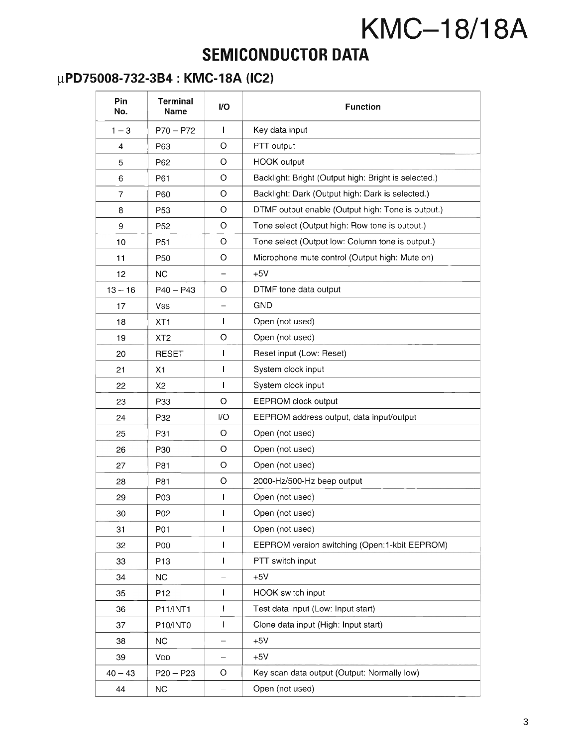### **SEMICONDUCTOR DATA**

#### ~PD75008-732-3B4 **: KMC-18A (lC2)**

| Pin<br>No.     | <b>Terminal</b><br>Name | <b>I/O</b>   | <b>Function</b>                                      |
|----------------|-------------------------|--------------|------------------------------------------------------|
| $1 - 3$        | $P70 - P72$             | L            | Key data input                                       |
| 4              | P63                     | $\circ$      | PTT output                                           |
| 5              | P62                     | $\circ$      | HOOK output                                          |
| 6              | P61                     | O            | Backlight: Bright (Output high: Bright is selected.) |
| $\overline{7}$ | P60                     | $\circ$      | Backlight: Dark (Output high: Dark is selected.)     |
| 8              | P <sub>53</sub>         | O            | DTMF output enable (Output high: Tone is output.)    |
| 9              | P <sub>52</sub>         | $\circ$      | Tone select (Output high: Row tone is output.)       |
| 10             | P51                     | O            | Tone select (Output low: Column tone is output.)     |
| 11             | P50                     | O            | Microphone mute control (Output high: Mute on)       |
| 12             | NC.                     | -            | $+5V$                                                |
| $13 - 16$      | $P40 - P43$             | O            | DTMF tone data output                                |
| 17             | Vss                     |              | <b>GND</b>                                           |
| 18             | XT <sub>1</sub>         | L            | Open (not used)                                      |
| 19             | XT <sub>2</sub>         | $\circ$      | Open (not used)                                      |
| 20             | <b>RESET</b>            | T            | Reset input (Low: Reset)                             |
| 21             | Х1                      | $\mathbf{I}$ | System clock input                                   |
| 22             | X2                      | T            | System clock input                                   |
| 23             | P33                     | $\circ$      | EEPROM clock output                                  |
| 24             | P32                     | 1/O          | EEPROM address output, data input/output             |
| 25             | P31                     | O            | Open (not used)                                      |
| 26             | P30                     | O            | Open (not used)                                      |
| 27             | P81                     | $\circ$      | Open (not used)                                      |
| 28             | P81                     | O            | 2000-Hz/500-Hz beep output                           |
| 29             | P03                     | T            | Open (not used)                                      |
| 30             | P02                     | L            | Open (not used)                                      |
| 31             | P01                     | I            | Open (not used)                                      |
| 32             | <b>P00</b>              | T            | EEPROM version switching (Open:1-kbit EEPROM)        |
| 33             | P <sub>13</sub>         | L            | PTT switch input                                     |
| 34             | NC                      |              | $+5V$                                                |
| 35             | P <sub>12</sub>         | L            | HOOK switch input                                    |
| 36             | P11/INT1                | I            | Test data input (Low: Input start)                   |
| 37             | P10/INT0                | $\mathsf{I}$ | Clone data input (High: Input start)                 |
| 38             | NC.                     | -            | $+5V$                                                |
| 39             | <b>VDD</b>              |              | $+5V$                                                |
| $40 - 43$      | $P20 - P23$             | O            | Key scan data output (Output: Normally low)          |
| 44             | <b>NC</b>               |              | Open (not used)                                      |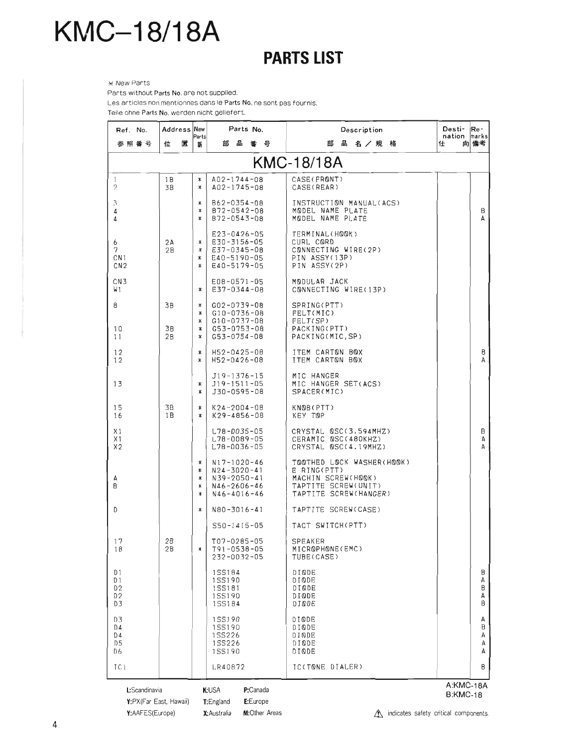### **PARTS LIST**

 $*$  New Parts Parts without Parts No. are not supplied.

Les articles non mentionnes dans Ie Parts No. ne sont pas fournis.

Teile ohne Parts No. werden nicht geliefert.

| Ref. No.                                        | Address New    | Parts                           | Parts No.                                                                                             | Description                                                                                                    | Desti-<br>Re-<br>nation<br>marks |
|-------------------------------------------------|----------------|---------------------------------|-------------------------------------------------------------------------------------------------------|----------------------------------------------------------------------------------------------------------------|----------------------------------|
| 参照 番 号                                          | 位<br>置         | 新                               | ᄬ<br>番号<br>部                                                                                          | 品名/規格<br>部                                                                                                     | 向 備考<br>仕                        |
|                                                 |                |                                 |                                                                                                       | <b>KMC-18/18A</b>                                                                                              |                                  |
| 1<br>$\mathfrak{D}_{\mathcal{L}}^{\mathcal{L}}$ | 1 B<br>3B      | ∗<br>$\ast$                     | A02-1744-08<br>$A02 - 1745 - 08$                                                                      | CASE(FRONT)<br>CASE(REAR)                                                                                      |                                  |
| 3<br>4<br>4                                     |                | ∗<br>$\ast$<br>∗                | B62-0354-08<br>B72-0542-08<br>B72-0543-08                                                             | INSTRUCTION MANUAL(ACS)<br>MODEL NAME PLATE<br>MODEL NAME PLATE                                                | B<br>A                           |
| 6<br>7<br>CN1<br>CN <sub>2</sub>                | 2 A<br>28      | ∗<br>∗<br>∗<br>$\ast$           | E23-0426-05<br>E30-3156-05<br>E37-0345-08<br>E40-5190-05<br>E40-5179-05                               | TERMINAL(HOOK)<br>CURL CORD<br>CONNECTING WIRE(2P)<br>PIN ASSY(13P)<br>PIN ASSY(2P)                            |                                  |
| CN <sub>3</sub><br>₩1                           |                | ∗                               | E08-0571-05<br>E37-0344-08                                                                            | MODULAR JACK<br>CONNECTING WIRE(13P)                                                                           |                                  |
| 8<br>10<br>11                                   | 3B<br>3B<br>2B | ∗<br>∗<br>≭<br>∗<br>∗           | $G02 - 0739 - 08$<br>$G10 - 0736 - 08$<br>G10-0737-08<br>G53-0753-08<br>G53-0754-08                   | SPRING(PTT)<br>FELT(MIC)<br>FELT(SP)<br>PACKING(PTT)<br>PACKING(MIC, SP)                                       |                                  |
| 12<br>12                                        |                | ∗<br>$\ast$                     | $H52 - 0425 - 08$<br>$H52 - 0426 - 08$                                                                | ITEM CARTON BOX<br>ITEM CARTON BOX                                                                             | B<br>A                           |
| 13                                              |                | ∗<br>$\ast$                     | $J19 - 1376 - 15$<br>J19-1511-05<br>J30-0595-08                                                       | MIC HANGER<br>MIC HANGER SET(ACS)<br>SPACER(MIC)                                                               |                                  |
| 15<br>16                                        | ЗB<br>1B       | $\ast$<br>∗                     | $K24 - 2004 - 08$<br>K29-4856-08                                                                      | KNOB(PTT)<br>KEY TOP                                                                                           |                                  |
| X1<br>X1<br>X <sub>2</sub>                      |                |                                 | L78-0035-05<br>L78-0089-05<br>$L78 - 0036 - 05$                                                       | CRYSTAL QSC(3.594MHZ)<br>CERAMIC QSC(480KHZ)<br>CRYSTAL 0SC(4.19MHZ)                                           | B                                |
| A<br>В                                          |                | ∗<br>$\ast$<br>≭<br>$\ast$<br>∗ | $N17 - 1020 - 46$<br>$N24 - 3020 - 41$<br>$N39 - 2050 - 41$<br>$N46 - 2606 - 46$<br>$N46 - 4016 - 46$ | TOOTHED LOCK WASHER(HOOK)<br>E RING(PTT)<br>MACHIN SCREW(HOOK)<br>TAPTITE SCREW(UNIT)<br>TAPTITE SCREW(HANGER) |                                  |
| D                                               |                | $\ast$                          | N80-3016-41                                                                                           | TAPTITE SCREW(CASE)                                                                                            |                                  |
|                                                 |                |                                 | $S50 - 1415 - 05$                                                                                     | TACT SWITCH(PTT)                                                                                               |                                  |
| 17<br>18                                        | 2Β<br>2B       | $\ast$                          | T07-0285-05<br>$T91 - 0538 - 05$<br>$232 - 0032 - 05$                                                 | <b>SPEAKER</b><br>MICROPHONE(EMC)<br>TUBE(CASE)                                                                |                                  |
| D1<br>D1<br>D2<br>D2<br>D3                      |                |                                 | 155184<br>155190<br>1SS181<br>1SS190<br>155184                                                        | DIQDE<br>DINDE<br>DINDE<br>DIQDE<br>DIQDE                                                                      | Β<br>A                           |
| D3<br>D4<br>D4<br>D <sub>5</sub><br>D6          |                |                                 | 1SS190<br>155190<br>1SS226<br>1SS226<br>1SS190                                                        | <b>DIQDE</b><br>DIQDE<br>DINDE<br>DIQDE<br>DIØDE                                                               |                                  |
| IC <sub>1</sub>                                 |                |                                 | LR40872                                                                                               | IC(TONE DIALER)                                                                                                |                                  |
| L:Scandinavia<br>Y:PX(Far East, Hawaii)         |                |                                 | K:USA<br>P:Canada<br>E:Europe<br>T: England                                                           |                                                                                                                | A:KMC-18A<br><b>B:KMC-18</b>     |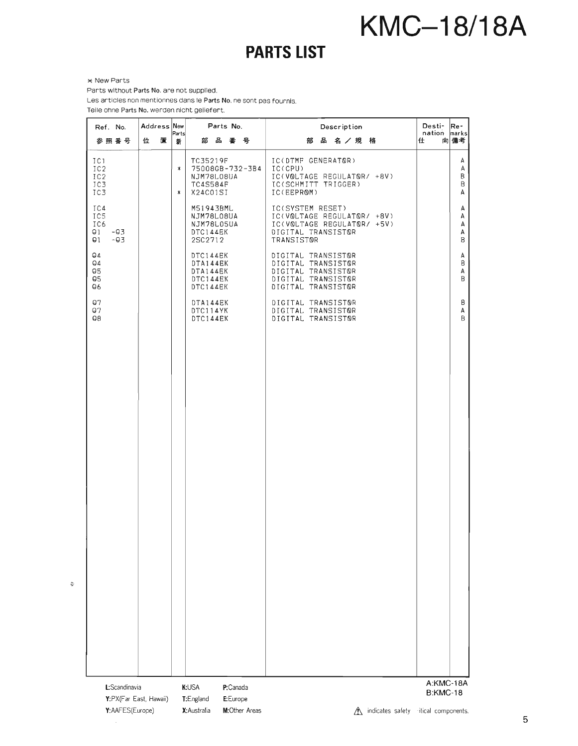### **PARTS LIST**

<sup>~</sup>New Parts

Parts without Parts No. are not supplied.

Les articles non mentionnes dans le Parts No. ne sont pas fournis.

Teile ohne Parts No. werden nicht geliefert.

| Ref. No.                                      | Address New<br>Parts | Parts No.                                                         | Description                                                                                                      | Desti-<br>nation             | Re-<br>marks                |
|-----------------------------------------------|----------------------|-------------------------------------------------------------------|------------------------------------------------------------------------------------------------------------------|------------------------------|-----------------------------|
| 参照番号                                          | 置<br>位<br>新          | 部品番号                                                              | 品名/規格<br>部                                                                                                       | 仕                            | 向備考                         |
| IC1<br>IC2<br>IC2<br>IC3<br>IC3               | $\ast$<br>$\ast$     | TC35219F<br>75008GB-732-3B4<br>NJM78L08UA<br>TC4S584F<br>X24C01SI | IC(DTMF GENERATOR)<br>IC(CPU)<br>IC(VOLTAGE REGULATOR/ +8V)<br>IC(SCHMITT TRIGGER)<br>IC(EEPROM)                 |                              | А<br>A<br>$\sf B$<br>B<br>А |
| IC4<br>IC5<br>IC6<br>91<br>-03<br>$-03$<br>О1 |                      | M51943BML<br>NJM78L08UA<br>NJM78L05UA<br>DTC144EK<br>2SC2712      | IC(SYSTEM RESET)<br>IC(VOLTAGE REGULATOR/ +8V)<br>IC(VOLTAGE REGULATOR/ +5V)<br>DIGITAL TRANSISTOR<br>TRANSISTOR |                              | А<br>A<br>A<br>А<br>B       |
| 94<br>94<br>Q5<br>95<br>96                    |                      | DTC144EK<br>DTA144EK<br>DTA144EK<br>DTC144EK<br>DTC144EK          | DIGITAL TRANSISTOR<br>DIGITAL TRANSISTOR<br>DIGITAL TRANSISTOR<br>DIGITAL TRANSISTOR<br>DIGITAL TRANSISTOR       |                              | A<br>B<br>А<br>B            |
| Q7<br>97<br>98                                |                      | DTA144EK<br>DTC114YK<br>DTC144EK                                  | DIGITAL TRANSISTOR<br>DIGITAL TRANSISTOR<br>DIGITAL TRANSISTOR                                                   |                              | В<br>А<br>B                 |
|                                               |                      |                                                                   |                                                                                                                  |                              |                             |
|                                               |                      |                                                                   |                                                                                                                  |                              |                             |
|                                               |                      |                                                                   |                                                                                                                  |                              |                             |
|                                               |                      |                                                                   |                                                                                                                  |                              |                             |
|                                               |                      |                                                                   |                                                                                                                  |                              |                             |
|                                               |                      |                                                                   |                                                                                                                  |                              |                             |
|                                               |                      |                                                                   |                                                                                                                  |                              |                             |
| L:Scandinavia                                 |                      | K:USA<br>P:Canada                                                 |                                                                                                                  | A:KMC-18A<br>$D. V$ M $O.40$ |                             |

 $\ddot{\nu}$ 

Y:PX(Far East, Hawaii) Y:AAFES(Europe) X:Australia M:Other Areas Lh indicates safety itical components.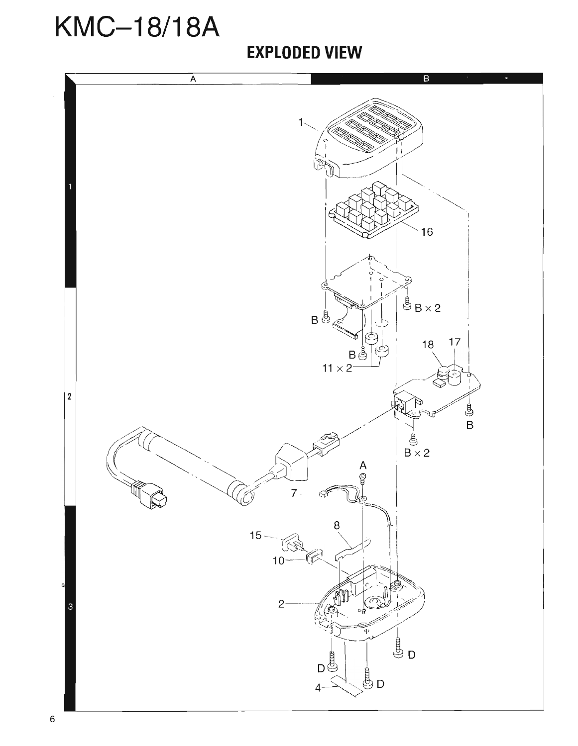#### **EXPLODED VIEW**

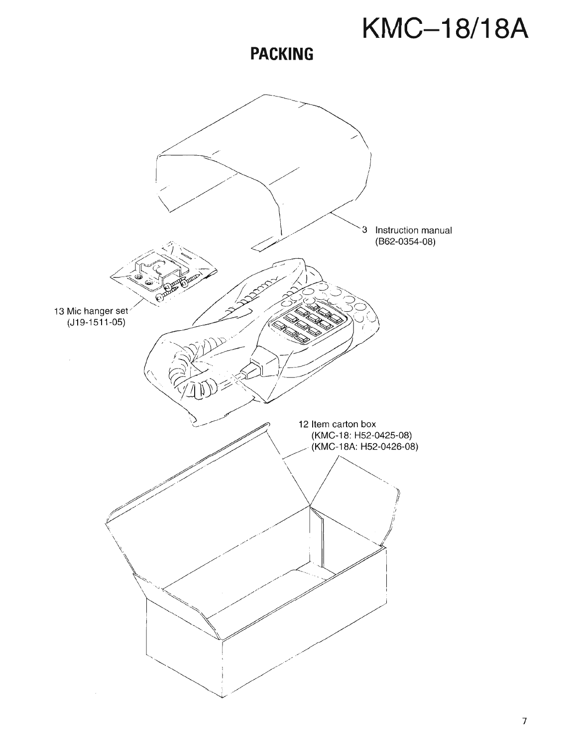**PACKING** 

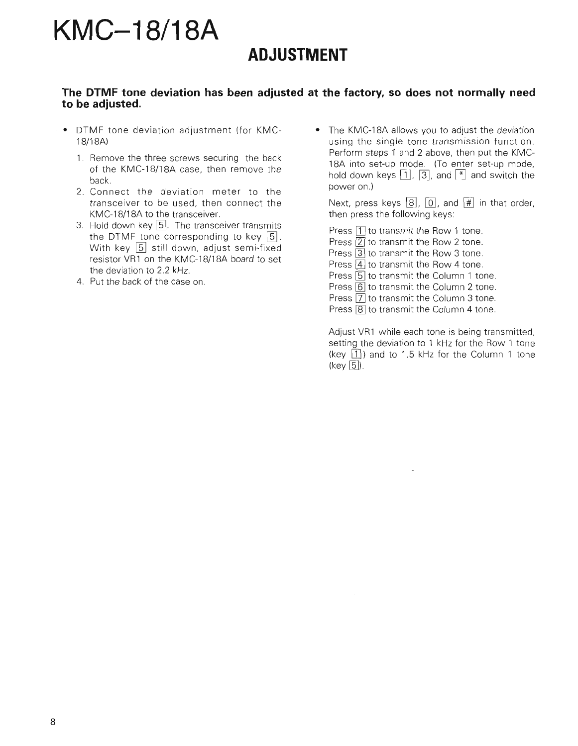#### **ADJUSTMENT**

#### **The DTMF tone deviation has been adjusted at the factory, so does not normally need to be adjusted.**

- DTMF tone deviation adjustment (for KMCl8/l8A)
	- 1. Remove the three screws securing the back of the KMC-18/l8A case, then remove the back.
	- 2. Connect the deviation meter to the transceiver to be used, then connect the KMC-18/18A to the transceiver.
	- 3. Hold down key  $\boxed{5}$ . The transceiver transmits the DTMF tone corresponding to key  $\overline{5}$ . With key  $\boxed{5}$  still down, adjust semi-fixed resistor VR1 on the KMC-18/18A board to set the deviation to 2.2 kHz.
	- 4. Put the back of the case on.

• The KMC-18A allows you to adjust the deviation using the single tone transmission function. Perform steps 1 and 2 above, then put the KMC-18A into set-up mode. (To enter set-up mode, hold down keys  $\lceil 1 \rceil$ ,  $\lceil 3 \rceil$ , and  $\lceil \cdot \rceil$  and switch the power on.)

Next, press keys  $\boxed{8}$ ,  $\boxed{0}$ , and  $\boxed{\#}$  in that order, then press the following keys:

Press  $\boxed{1}$  to transmit the Row 1 tone.

Press 2 to transmit the Row 2 tone.

Press 3 to transmit the Row 3 tone.

Press 4 to transmit the Row 4 tone.

Press [5] to transmit the Column 1 tone.

Press  $\boxed{6}$  to transmit the Column 2 tone.

Press  $\boxed{7}$  to transmit the Column 3 tone.

Press  $\boxed{8}$  to transmit the Column 4 tone.

Adjust VR1 while each tone is being transmitted, setting the deviation to 1 kHz for the Row 1 tone (key  $\boxed{1}$ ) and to 1.5 kHz for the Column 1 tone  $(key | 5)$ .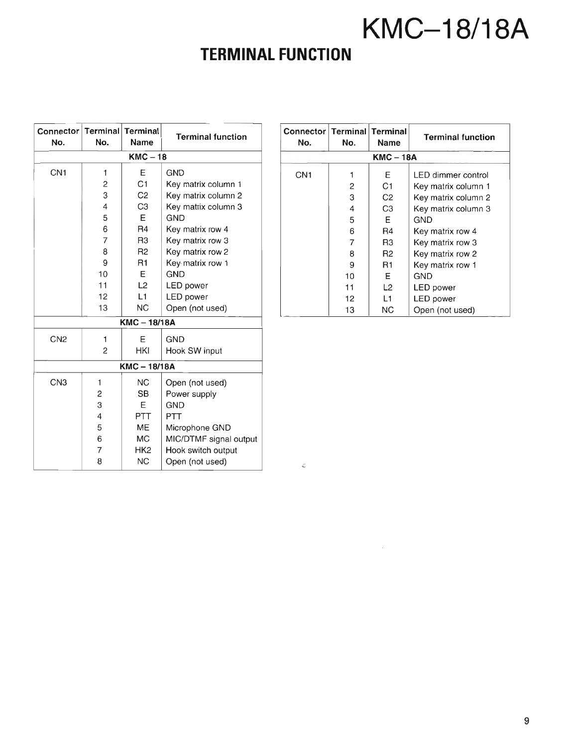### **TERMINAL FUNCTION**

|            | Connector<br>No. | No. | Terminal Terminal<br>Name | <b>Terminal function</b> | Connector<br>No. | No. | Terminal Terminal<br>Name | <b>Terminal functio</b> |
|------------|------------------|-----|---------------------------|--------------------------|------------------|-----|---------------------------|-------------------------|
|            |                  |     | $KMC-18$                  |                          |                  |     | <b>KMC-18A</b>            |                         |
|            | CN <sub>1</sub>  | 1   | Е                         | <b>GND</b>               | CN <sub>1</sub>  | 1   | Ε                         | LED dimmer control      |
|            |                  | 2   | C <sub>1</sub>            | Key matrix column 1      |                  | 2   | C <sub>1</sub>            | Key matrix column 1     |
|            |                  | 3   | C <sub>2</sub>            | Key matrix column 2      |                  | 3   | C <sub>2</sub>            | Key matrix column 2     |
|            |                  | 4   | C <sub>3</sub>            | Key matrix column 3      |                  | 4   | C <sub>3</sub>            | Key matrix column 3     |
|            |                  | 5   | E                         | <b>GND</b>               |                  | 5   | Ε                         | <b>GND</b>              |
|            |                  | 6   | R <sub>4</sub>            | Key matrix row 4         |                  | 6   | R4                        | Key matrix row 4        |
|            |                  | 7   | R <sub>3</sub>            | Key matrix row 3         |                  | 7   | R <sub>3</sub>            | Key matrix row 3        |
|            |                  | 8   | R <sub>2</sub>            | Key matrix row 2         |                  | 8   | R <sub>2</sub>            | Key matrix row 2        |
|            |                  | 9   | R <sub>1</sub>            | Key matrix row 1         |                  | 9   | R1                        | Key matrix row 1        |
|            |                  | 10  | E                         | <b>GND</b>               |                  | 10  | Ε                         | <b>GND</b>              |
|            |                  | 11  | L2                        | <b>LED</b> power         |                  | 11  | L2                        | <b>LED</b> power        |
|            |                  | 12  | L1                        | <b>LED</b> power         |                  | 12  | L <sub>1</sub>            | <b>LED</b> power        |
|            |                  | 13  | <b>NC</b>                 | Open (not used)          |                  | 13  | <b>NC</b>                 | Open (not used)         |
| KMC-18/18A |                  |     |                           |                          |                  |     |                           |                         |
|            | CN <sub>2</sub>  | 1   | Ε                         | <b>GND</b>               |                  |     |                           |                         |
|            |                  | 2   | HKI                       | Hook SW input            |                  |     |                           |                         |
|            |                  |     |                           |                          |                  |     |                           |                         |
|            |                  |     | <b>KMC-18/18A</b>         |                          |                  |     |                           |                         |
|            | CN <sub>3</sub>  | 1   | <b>NC</b>                 | Open (not used)          |                  |     |                           |                         |
|            |                  | 2   | <b>SB</b>                 | Power supply             |                  |     |                           |                         |
|            |                  | З   | Ε                         | <b>GND</b>               |                  |     |                           |                         |
|            |                  | 4   | PTT                       | PTT                      |                  |     |                           |                         |
|            |                  | 5   | ME                        | Microphone GND           |                  |     |                           |                         |
|            |                  | 6   | <b>MC</b>                 | MIC/DTMF signal output   |                  |     |                           |                         |
|            |                  | 7   | HK <sub>2</sub>           | Hook switch output       |                  |     |                           |                         |
|            |                  | 8   | <b>NC</b>                 | Open (not used)          | ۵                |     |                           |                         |
|            |                  |     |                           |                          |                  |     |                           |                         |

| lo.            | minal   Terminal<br>Name | <b>Terminal function</b> | Connector   Terminal   Terminal<br>No. | No. | Name             | <b>Terminal function</b> |
|----------------|--------------------------|--------------------------|----------------------------------------|-----|------------------|--------------------------|
|                | $KMC-18$                 |                          |                                        |     | <b>KMC - 18A</b> |                          |
|                | E                        | <b>GND</b>               | CN <sub>1</sub>                        |     | Ε                | LED dimmer control       |
| $\overline{2}$ | C <sub>1</sub>           | Key matrix column 1      |                                        | 2   | C <sub>1</sub>   | Key matrix column 1      |
| З              | C <sub>2</sub>           | Key matrix column 2      |                                        | 3   | C <sub>2</sub>   | Key matrix column 2      |
| 4              | C <sub>3</sub>           | Key matrix column 3      |                                        | 4   | C <sub>3</sub>   | Key matrix column 3      |
| 5              | Е                        | <b>GND</b>               |                                        | 5   | E                | GND                      |
| 6              | R4                       | Key matrix row 4         |                                        | 6   | R4               | Key matrix row 4         |
|                | R <sub>3</sub>           | Key matrix row 3         |                                        |     | R <sub>3</sub>   | Key matrix row 3         |
| 8              | R <sub>2</sub>           | Key matrix row 2         |                                        | 8   | R <sub>2</sub>   | Key matrix row 2         |
| 9              | R <sub>1</sub>           | Key matrix row 1         |                                        | 9   | R <sub>1</sub>   | Key matrix row 1         |
| 10             | Ε                        | <b>GND</b>               |                                        | 10  | Ε                | <b>GND</b>               |
| 11             | L <sub>2</sub>           | LED power                |                                        | 11  | L <sub>2</sub>   | LED power                |
| 12             | L1                       | <b>LED</b> power         |                                        | 12  | L1               | <b>LED</b> power         |
| 13             | NC.                      | Open (not used)          |                                        | 13  | <b>NC</b>        | Open (not used)          |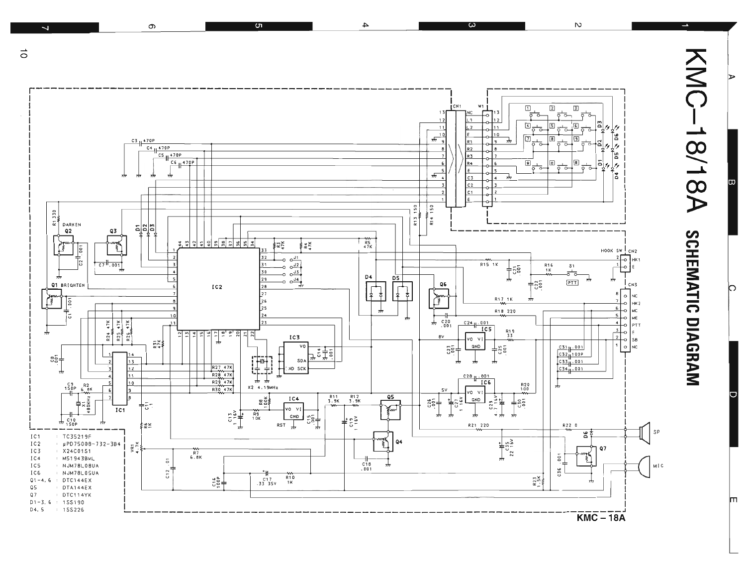

 $\overline{\mathbf{4}}$ 

 $\overline{\mathbf{c}}$ 

 $\vec{0}$ 

 $\overline{\phantom{0}}$ 

თ

<u>ហ</u>

lO.

 $\mathcal{D}$ 

m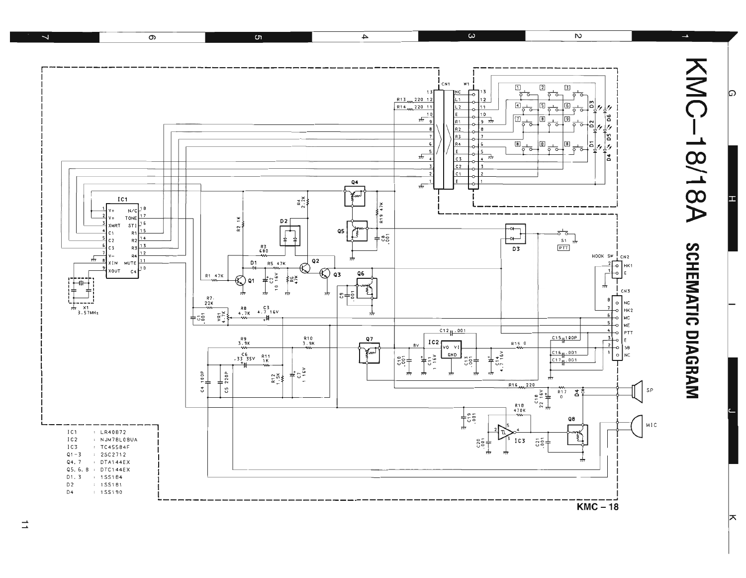

 $\overrightarrow{ }$ 

ᆬ

ଢ